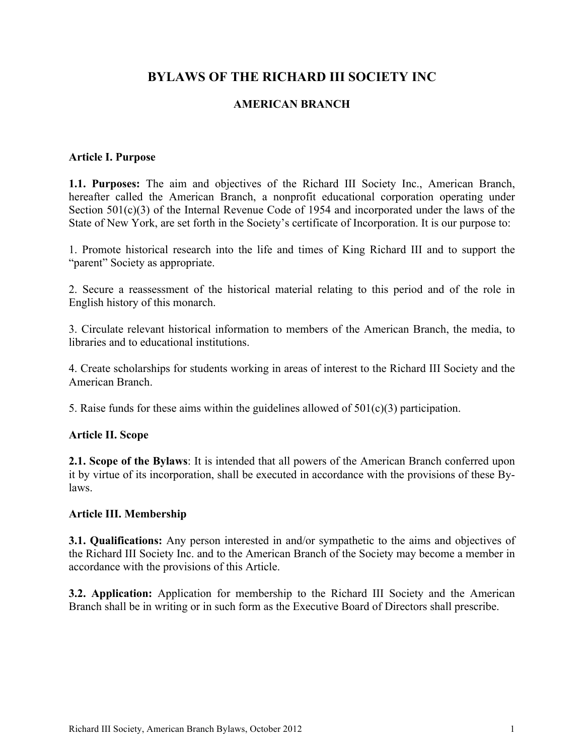# **BYLAWS OF THE RICHARD III SOCIETY INC**

## **AMERICAN BRANCH**

#### **Article I. Purpose**

**1.1. Purposes:** The aim and objectives of the Richard III Society Inc., American Branch, hereafter called the American Branch, a nonprofit educational corporation operating under Section 501(c)(3) of the Internal Revenue Code of 1954 and incorporated under the laws of the State of New York, are set forth in the Society's certificate of Incorporation. It is our purpose to:

1. Promote historical research into the life and times of King Richard III and to support the "parent" Society as appropriate.

2. Secure a reassessment of the historical material relating to this period and of the role in English history of this monarch.

3. Circulate relevant historical information to members of the American Branch, the media, to libraries and to educational institutions.

4. Create scholarships for students working in areas of interest to the Richard III Society and the American Branch.

5. Raise funds for these aims within the guidelines allowed of  $501(c)(3)$  participation.

### **Article II. Scope**

**2.1. Scope of the Bylaws**: It is intended that all powers of the American Branch conferred upon it by virtue of its incorporation, shall be executed in accordance with the provisions of these Bylaws.

#### **Article III. Membership**

**3.1. Qualifications:** Any person interested in and/or sympathetic to the aims and objectives of the Richard III Society Inc. and to the American Branch of the Society may become a member in accordance with the provisions of this Article.

**3.2. Application:** Application for membership to the Richard III Society and the American Branch shall be in writing or in such form as the Executive Board of Directors shall prescribe.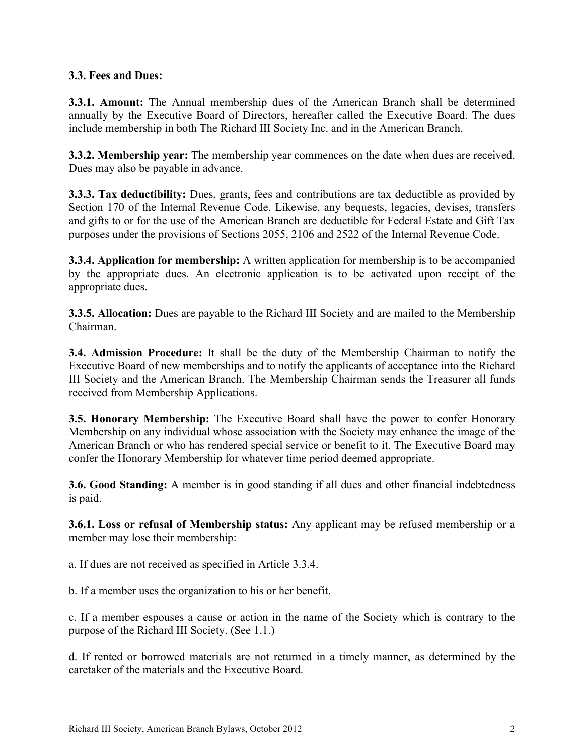# **3.3. Fees and Dues:**

**3.3.1. Amount:** The Annual membership dues of the American Branch shall be determined annually by the Executive Board of Directors, hereafter called the Executive Board. The dues include membership in both The Richard III Society Inc. and in the American Branch.

**3.3.2. Membership year:** The membership year commences on the date when dues are received. Dues may also be payable in advance.

**3.3.3. Tax deductibility:** Dues, grants, fees and contributions are tax deductible as provided by Section 170 of the Internal Revenue Code. Likewise, any bequests, legacies, devises, transfers and gifts to or for the use of the American Branch are deductible for Federal Estate and Gift Tax purposes under the provisions of Sections 2055, 2106 and 2522 of the Internal Revenue Code.

**3.3.4. Application for membership:** A written application for membership is to be accompanied by the appropriate dues. An electronic application is to be activated upon receipt of the appropriate dues.

**3.3.5. Allocation:** Dues are payable to the Richard III Society and are mailed to the Membership Chairman.

**3.4. Admission Procedure:** It shall be the duty of the Membership Chairman to notify the Executive Board of new memberships and to notify the applicants of acceptance into the Richard III Society and the American Branch. The Membership Chairman sends the Treasurer all funds received from Membership Applications.

**3.5. Honorary Membership:** The Executive Board shall have the power to confer Honorary Membership on any individual whose association with the Society may enhance the image of the American Branch or who has rendered special service or benefit to it. The Executive Board may confer the Honorary Membership for whatever time period deemed appropriate.

**3.6. Good Standing:** A member is in good standing if all dues and other financial indebtedness is paid.

**3.6.1. Loss or refusal of Membership status:** Any applicant may be refused membership or a member may lose their membership:

a. If dues are not received as specified in Article 3.3.4.

b. If a member uses the organization to his or her benefit.

c. If a member espouses a cause or action in the name of the Society which is contrary to the purpose of the Richard III Society. (See 1.1.)

d. If rented or borrowed materials are not returned in a timely manner, as determined by the caretaker of the materials and the Executive Board.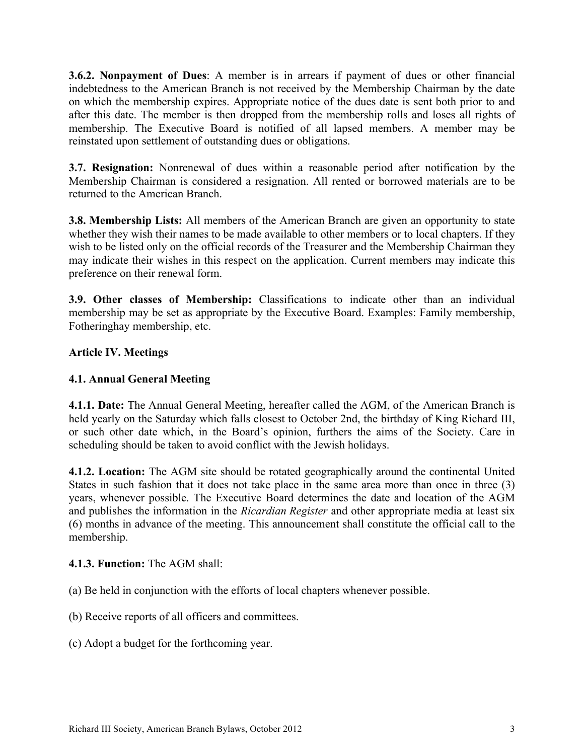**3.6.2. Nonpayment of Dues**: A member is in arrears if payment of dues or other financial indebtedness to the American Branch is not received by the Membership Chairman by the date on which the membership expires. Appropriate notice of the dues date is sent both prior to and after this date. The member is then dropped from the membership rolls and loses all rights of membership. The Executive Board is notified of all lapsed members. A member may be reinstated upon settlement of outstanding dues or obligations.

**3.7. Resignation:** Nonrenewal of dues within a reasonable period after notification by the Membership Chairman is considered a resignation. All rented or borrowed materials are to be returned to the American Branch.

**3.8. Membership Lists:** All members of the American Branch are given an opportunity to state whether they wish their names to be made available to other members or to local chapters. If they wish to be listed only on the official records of the Treasurer and the Membership Chairman they may indicate their wishes in this respect on the application. Current members may indicate this preference on their renewal form.

**3.9. Other classes of Membership:** Classifications to indicate other than an individual membership may be set as appropriate by the Executive Board. Examples: Family membership, Fotheringhay membership, etc.

# **Article IV. Meetings**

# **4.1. Annual General Meeting**

**4.1.1. Date:** The Annual General Meeting, hereafter called the AGM, of the American Branch is held yearly on the Saturday which falls closest to October 2nd, the birthday of King Richard III, or such other date which, in the Board's opinion, furthers the aims of the Society. Care in scheduling should be taken to avoid conflict with the Jewish holidays.

**4.1.2. Location:** The AGM site should be rotated geographically around the continental United States in such fashion that it does not take place in the same area more than once in three (3) years, whenever possible. The Executive Board determines the date and location of the AGM and publishes the information in the *Ricardian Register* and other appropriate media at least six (6) months in advance of the meeting. This announcement shall constitute the official call to the membership.

### **4.1.3. Function:** The AGM shall:

(a) Be held in conjunction with the efforts of local chapters whenever possible.

(b) Receive reports of all officers and committees.

(c) Adopt a budget for the forthcoming year.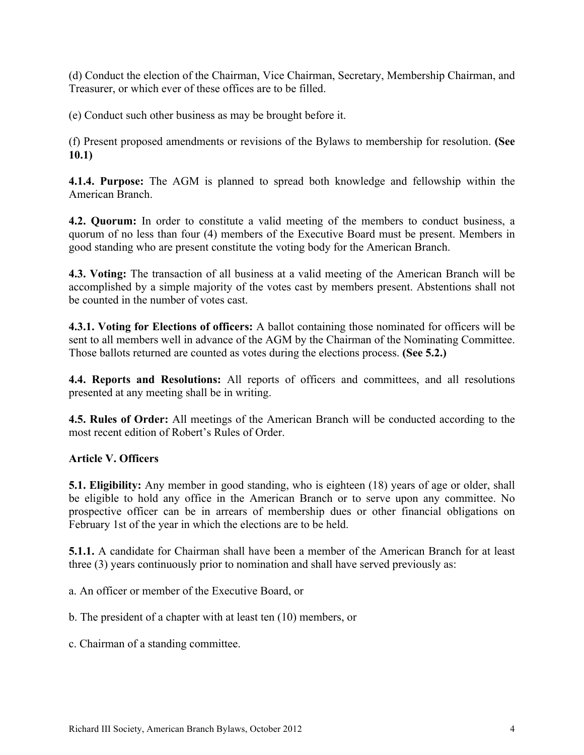(d) Conduct the election of the Chairman, Vice Chairman, Secretary, Membership Chairman, and Treasurer, or which ever of these offices are to be filled.

(e) Conduct such other business as may be brought before it.

(f) Present proposed amendments or revisions of the Bylaws to membership for resolution. **(See 10.1)**

**4.1.4. Purpose:** The AGM is planned to spread both knowledge and fellowship within the American Branch.

**4.2. Quorum:** In order to constitute a valid meeting of the members to conduct business, a quorum of no less than four (4) members of the Executive Board must be present. Members in good standing who are present constitute the voting body for the American Branch.

**4.3. Voting:** The transaction of all business at a valid meeting of the American Branch will be accomplished by a simple majority of the votes cast by members present. Abstentions shall not be counted in the number of votes cast.

**4.3.1. Voting for Elections of officers:** A ballot containing those nominated for officers will be sent to all members well in advance of the AGM by the Chairman of the Nominating Committee. Those ballots returned are counted as votes during the elections process. **(See 5.2.)**

**4.4. Reports and Resolutions:** All reports of officers and committees, and all resolutions presented at any meeting shall be in writing.

**4.5. Rules of Order:** All meetings of the American Branch will be conducted according to the most recent edition of Robert's Rules of Order.

### **Article V. Officers**

**5.1. Eligibility:** Any member in good standing, who is eighteen (18) years of age or older, shall be eligible to hold any office in the American Branch or to serve upon any committee. No prospective officer can be in arrears of membership dues or other financial obligations on February 1st of the year in which the elections are to be held.

**5.1.1.** A candidate for Chairman shall have been a member of the American Branch for at least three (3) years continuously prior to nomination and shall have served previously as:

a. An officer or member of the Executive Board, or

b. The president of a chapter with at least ten (10) members, or

c. Chairman of a standing committee.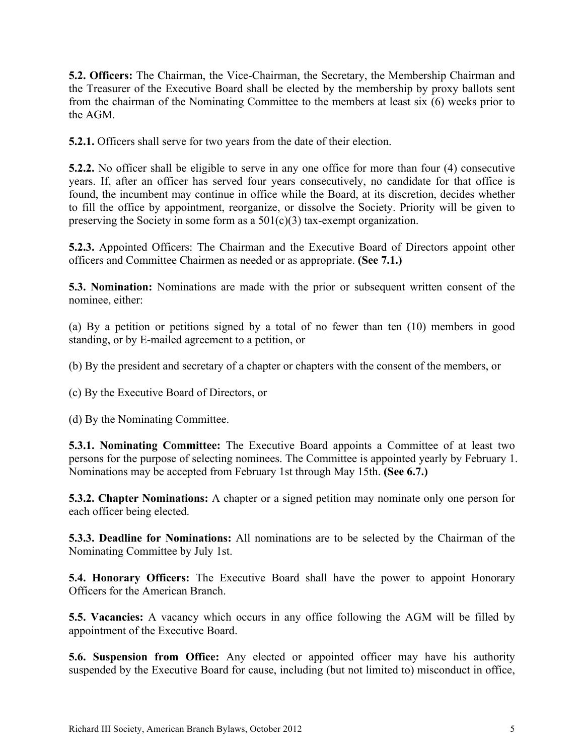**5.2. Officers:** The Chairman, the Vice-Chairman, the Secretary, the Membership Chairman and the Treasurer of the Executive Board shall be elected by the membership by proxy ballots sent from the chairman of the Nominating Committee to the members at least six (6) weeks prior to the AGM.

**5.2.1.** Officers shall serve for two years from the date of their election.

**5.2.2.** No officer shall be eligible to serve in any one office for more than four (4) consecutive years. If, after an officer has served four years consecutively, no candidate for that office is found, the incumbent may continue in office while the Board, at its discretion, decides whether to fill the office by appointment, reorganize, or dissolve the Society. Priority will be given to preserving the Society in some form as a  $501(c)(3)$  tax-exempt organization.

**5.2.3.** Appointed Officers: The Chairman and the Executive Board of Directors appoint other officers and Committee Chairmen as needed or as appropriate. **(See 7.1.)**

**5.3. Nomination:** Nominations are made with the prior or subsequent written consent of the nominee, either:

(a) By a petition or petitions signed by a total of no fewer than ten (10) members in good standing, or by E-mailed agreement to a petition, or

(b) By the president and secretary of a chapter or chapters with the consent of the members, or

(c) By the Executive Board of Directors, or

(d) By the Nominating Committee.

**5.3.1. Nominating Committee:** The Executive Board appoints a Committee of at least two persons for the purpose of selecting nominees. The Committee is appointed yearly by February 1. Nominations may be accepted from February 1st through May 15th. **(See 6.7.)**

**5.3.2. Chapter Nominations:** A chapter or a signed petition may nominate only one person for each officer being elected.

**5.3.3. Deadline for Nominations:** All nominations are to be selected by the Chairman of the Nominating Committee by July 1st.

**5.4. Honorary Officers:** The Executive Board shall have the power to appoint Honorary Officers for the American Branch.

**5.5. Vacancies:** A vacancy which occurs in any office following the AGM will be filled by appointment of the Executive Board.

**5.6. Suspension from Office:** Any elected or appointed officer may have his authority suspended by the Executive Board for cause, including (but not limited to) misconduct in office,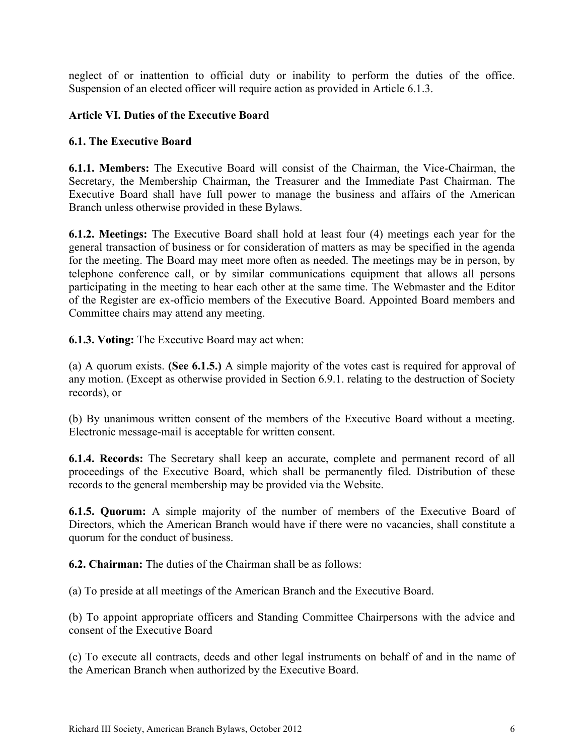neglect of or inattention to official duty or inability to perform the duties of the office. Suspension of an elected officer will require action as provided in Article 6.1.3.

### **Article VI. Duties of the Executive Board**

#### **6.1. The Executive Board**

**6.1.1. Members:** The Executive Board will consist of the Chairman, the Vice-Chairman, the Secretary, the Membership Chairman, the Treasurer and the Immediate Past Chairman. The Executive Board shall have full power to manage the business and affairs of the American Branch unless otherwise provided in these Bylaws.

**6.1.2. Meetings:** The Executive Board shall hold at least four (4) meetings each year for the general transaction of business or for consideration of matters as may be specified in the agenda for the meeting. The Board may meet more often as needed. The meetings may be in person, by telephone conference call, or by similar communications equipment that allows all persons participating in the meeting to hear each other at the same time. The Webmaster and the Editor of the Register are ex-officio members of the Executive Board. Appointed Board members and Committee chairs may attend any meeting.

**6.1.3. Voting:** The Executive Board may act when:

(a) A quorum exists. **(See 6.1.5.)** A simple majority of the votes cast is required for approval of any motion. (Except as otherwise provided in Section 6.9.1. relating to the destruction of Society records), or

(b) By unanimous written consent of the members of the Executive Board without a meeting. Electronic message-mail is acceptable for written consent.

**6.1.4. Records:** The Secretary shall keep an accurate, complete and permanent record of all proceedings of the Executive Board, which shall be permanently filed. Distribution of these records to the general membership may be provided via the Website.

**6.1.5. Quorum:** A simple majority of the number of members of the Executive Board of Directors, which the American Branch would have if there were no vacancies, shall constitute a quorum for the conduct of business.

**6.2. Chairman:** The duties of the Chairman shall be as follows:

(a) To preside at all meetings of the American Branch and the Executive Board.

(b) To appoint appropriate officers and Standing Committee Chairpersons with the advice and consent of the Executive Board

(c) To execute all contracts, deeds and other legal instruments on behalf of and in the name of the American Branch when authorized by the Executive Board.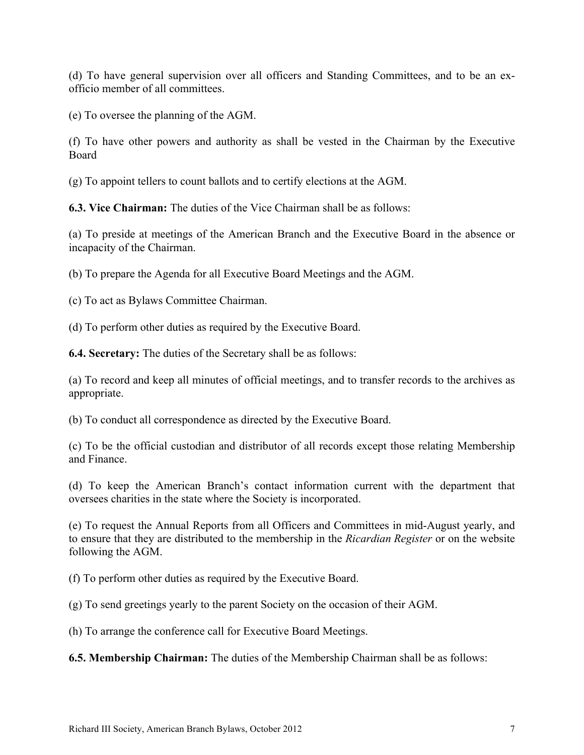(d) To have general supervision over all officers and Standing Committees, and to be an exofficio member of all committees.

(e) To oversee the planning of the AGM.

(f) To have other powers and authority as shall be vested in the Chairman by the Executive Board

(g) To appoint tellers to count ballots and to certify elections at the AGM.

**6.3. Vice Chairman:** The duties of the Vice Chairman shall be as follows:

(a) To preside at meetings of the American Branch and the Executive Board in the absence or incapacity of the Chairman.

(b) To prepare the Agenda for all Executive Board Meetings and the AGM.

(c) To act as Bylaws Committee Chairman.

(d) To perform other duties as required by the Executive Board.

**6.4. Secretary:** The duties of the Secretary shall be as follows:

(a) To record and keep all minutes of official meetings, and to transfer records to the archives as appropriate.

(b) To conduct all correspondence as directed by the Executive Board.

(c) To be the official custodian and distributor of all records except those relating Membership and Finance.

(d) To keep the American Branch's contact information current with the department that oversees charities in the state where the Society is incorporated.

(e) To request the Annual Reports from all Officers and Committees in mid-August yearly, and to ensure that they are distributed to the membership in the *Ricardian Register* or on the website following the AGM.

(f) To perform other duties as required by the Executive Board.

(g) To send greetings yearly to the parent Society on the occasion of their AGM.

(h) To arrange the conference call for Executive Board Meetings.

**6.5. Membership Chairman:** The duties of the Membership Chairman shall be as follows: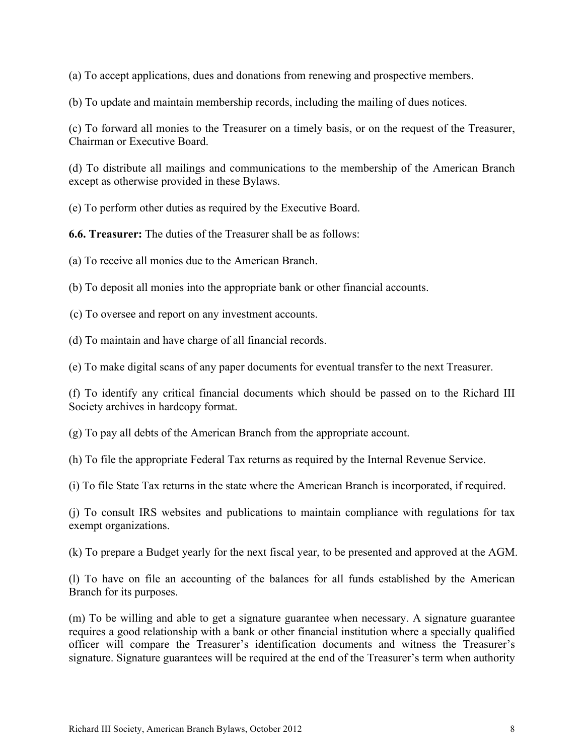(a) To accept applications, dues and donations from renewing and prospective members.

(b) To update and maintain membership records, including the mailing of dues notices.

(c) To forward all monies to the Treasurer on a timely basis, or on the request of the Treasurer, Chairman or Executive Board.

(d) To distribute all mailings and communications to the membership of the American Branch except as otherwise provided in these Bylaws.

(e) To perform other duties as required by the Executive Board.

**6.6. Treasurer:** The duties of the Treasurer shall be as follows:

(a) To receive all monies due to the American Branch.

(b) To deposit all monies into the appropriate bank or other financial accounts.

(c) To oversee and report on any investment accounts.

(d) To maintain and have charge of all financial records.

(e) To make digital scans of any paper documents for eventual transfer to the next Treasurer.

(f) To identify any critical financial documents which should be passed on to the Richard III Society archives in hardcopy format.

(g) To pay all debts of the American Branch from the appropriate account.

(h) To file the appropriate Federal Tax returns as required by the Internal Revenue Service.

(i) To file State Tax returns in the state where the American Branch is incorporated, if required.

(j) To consult IRS websites and publications to maintain compliance with regulations for tax exempt organizations.

(k) To prepare a Budget yearly for the next fiscal year, to be presented and approved at the AGM.

(l) To have on file an accounting of the balances for all funds established by the American Branch for its purposes.

(m) To be willing and able to get a signature guarantee when necessary. A signature guarantee requires a good relationship with a bank or other financial institution where a specially qualified officer will compare the Treasurer's identification documents and witness the Treasurer's signature. Signature guarantees will be required at the end of the Treasurer's term when authority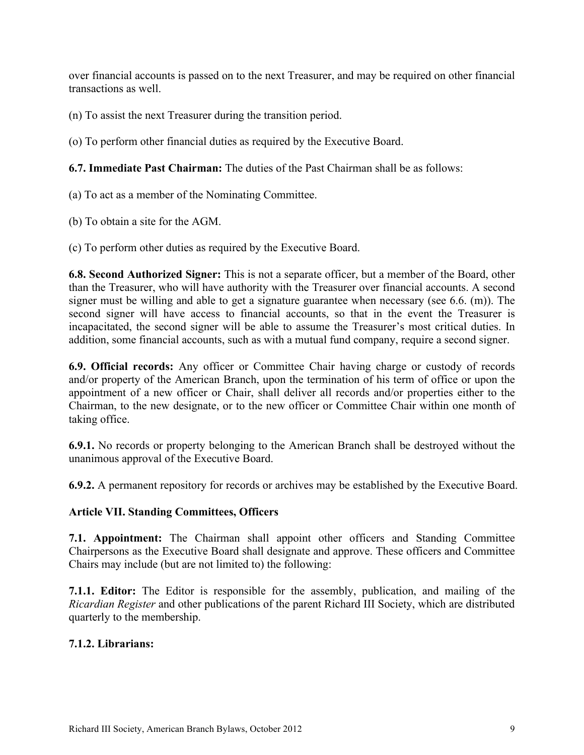over financial accounts is passed on to the next Treasurer, and may be required on other financial transactions as well.

(n) To assist the next Treasurer during the transition period.

(o) To perform other financial duties as required by the Executive Board.

**6.7. Immediate Past Chairman:** The duties of the Past Chairman shall be as follows:

(a) To act as a member of the Nominating Committee.

(b) To obtain a site for the AGM.

(c) To perform other duties as required by the Executive Board.

**6.8. Second Authorized Signer:** This is not a separate officer, but a member of the Board, other than the Treasurer, who will have authority with the Treasurer over financial accounts. A second signer must be willing and able to get a signature guarantee when necessary (see 6.6. (m)). The second signer will have access to financial accounts, so that in the event the Treasurer is incapacitated, the second signer will be able to assume the Treasurer's most critical duties. In addition, some financial accounts, such as with a mutual fund company, require a second signer.

**6.9. Official records:** Any officer or Committee Chair having charge or custody of records and/or property of the American Branch, upon the termination of his term of office or upon the appointment of a new officer or Chair, shall deliver all records and/or properties either to the Chairman, to the new designate, or to the new officer or Committee Chair within one month of taking office.

**6.9.1.** No records or property belonging to the American Branch shall be destroyed without the unanimous approval of the Executive Board.

**6.9.2.** A permanent repository for records or archives may be established by the Executive Board.

#### **Article VII. Standing Committees, Officers**

**7.1. Appointment:** The Chairman shall appoint other officers and Standing Committee Chairpersons as the Executive Board shall designate and approve. These officers and Committee Chairs may include (but are not limited to) the following:

**7.1.1. Editor:** The Editor is responsible for the assembly, publication, and mailing of the *Ricardian Register* and other publications of the parent Richard III Society, which are distributed quarterly to the membership.

#### **7.1.2. Librarians:**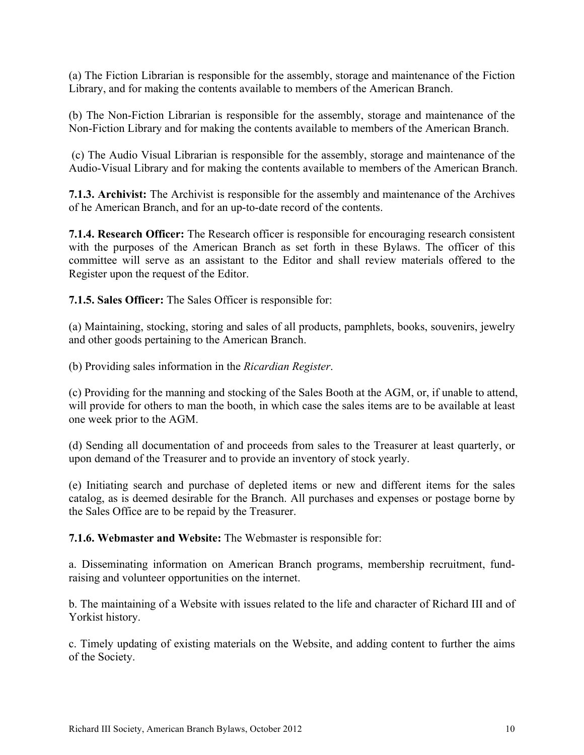(a) The Fiction Librarian is responsible for the assembly, storage and maintenance of the Fiction Library, and for making the contents available to members of the American Branch.

(b) The Non-Fiction Librarian is responsible for the assembly, storage and maintenance of the Non-Fiction Library and for making the contents available to members of the American Branch.

 (c) The Audio Visual Librarian is responsible for the assembly, storage and maintenance of the Audio-Visual Library and for making the contents available to members of the American Branch.

**7.1.3. Archivist:** The Archivist is responsible for the assembly and maintenance of the Archives of he American Branch, and for an up-to-date record of the contents.

**7.1.4. Research Officer:** The Research officer is responsible for encouraging research consistent with the purposes of the American Branch as set forth in these Bylaws. The officer of this committee will serve as an assistant to the Editor and shall review materials offered to the Register upon the request of the Editor.

**7.1.5. Sales Officer:** The Sales Officer is responsible for:

(a) Maintaining, stocking, storing and sales of all products, pamphlets, books, souvenirs, jewelry and other goods pertaining to the American Branch.

(b) Providing sales information in the *Ricardian Register*.

(c) Providing for the manning and stocking of the Sales Booth at the AGM, or, if unable to attend, will provide for others to man the booth, in which case the sales items are to be available at least one week prior to the AGM.

(d) Sending all documentation of and proceeds from sales to the Treasurer at least quarterly, or upon demand of the Treasurer and to provide an inventory of stock yearly.

(e) Initiating search and purchase of depleted items or new and different items for the sales catalog, as is deemed desirable for the Branch. All purchases and expenses or postage borne by the Sales Office are to be repaid by the Treasurer.

**7.1.6. Webmaster and Website:** The Webmaster is responsible for:

a. Disseminating information on American Branch programs, membership recruitment, fundraising and volunteer opportunities on the internet.

b. The maintaining of a Website with issues related to the life and character of Richard III and of Yorkist history.

c. Timely updating of existing materials on the Website, and adding content to further the aims of the Society.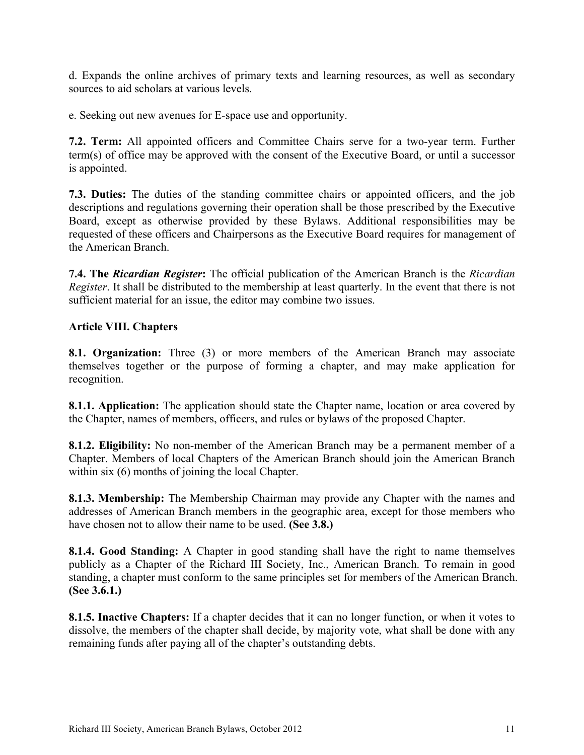d. Expands the online archives of primary texts and learning resources, as well as secondary sources to aid scholars at various levels.

e. Seeking out new avenues for E-space use and opportunity.

**7.2. Term:** All appointed officers and Committee Chairs serve for a two-year term. Further term(s) of office may be approved with the consent of the Executive Board, or until a successor is appointed.

**7.3. Duties:** The duties of the standing committee chairs or appointed officers, and the job descriptions and regulations governing their operation shall be those prescribed by the Executive Board, except as otherwise provided by these Bylaws. Additional responsibilities may be requested of these officers and Chairpersons as the Executive Board requires for management of the American Branch.

**7.4. The** *Ricardian Register***:** The official publication of the American Branch is the *Ricardian Register*. It shall be distributed to the membership at least quarterly. In the event that there is not sufficient material for an issue, the editor may combine two issues.

### **Article VIII. Chapters**

**8.1. Organization:** Three (3) or more members of the American Branch may associate themselves together or the purpose of forming a chapter, and may make application for recognition.

**8.1.1. Application:** The application should state the Chapter name, location or area covered by the Chapter, names of members, officers, and rules or bylaws of the proposed Chapter.

**8.1.2. Eligibility:** No non-member of the American Branch may be a permanent member of a Chapter. Members of local Chapters of the American Branch should join the American Branch within six  $(6)$  months of joining the local Chapter.

**8.1.3. Membership:** The Membership Chairman may provide any Chapter with the names and addresses of American Branch members in the geographic area, except for those members who have chosen not to allow their name to be used. **(See 3.8.)**

**8.1.4. Good Standing:** A Chapter in good standing shall have the right to name themselves publicly as a Chapter of the Richard III Society, Inc., American Branch. To remain in good standing, a chapter must conform to the same principles set for members of the American Branch. **(See 3.6.1.)**

**8.1.5. Inactive Chapters:** If a chapter decides that it can no longer function, or when it votes to dissolve, the members of the chapter shall decide, by majority vote, what shall be done with any remaining funds after paying all of the chapter's outstanding debts.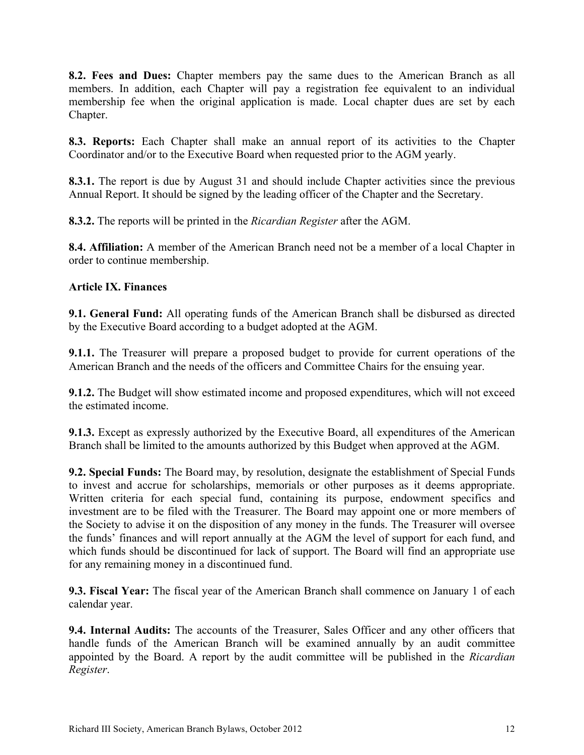**8.2. Fees and Dues:** Chapter members pay the same dues to the American Branch as all members. In addition, each Chapter will pay a registration fee equivalent to an individual membership fee when the original application is made. Local chapter dues are set by each Chapter.

**8.3. Reports:** Each Chapter shall make an annual report of its activities to the Chapter Coordinator and/or to the Executive Board when requested prior to the AGM yearly.

**8.3.1.** The report is due by August 31 and should include Chapter activities since the previous Annual Report. It should be signed by the leading officer of the Chapter and the Secretary.

**8.3.2.** The reports will be printed in the *Ricardian Register* after the AGM.

**8.4. Affiliation:** A member of the American Branch need not be a member of a local Chapter in order to continue membership.

### **Article IX. Finances**

**9.1. General Fund:** All operating funds of the American Branch shall be disbursed as directed by the Executive Board according to a budget adopted at the AGM.

**9.1.1.** The Treasurer will prepare a proposed budget to provide for current operations of the American Branch and the needs of the officers and Committee Chairs for the ensuing year.

**9.1.2.** The Budget will show estimated income and proposed expenditures, which will not exceed the estimated income.

**9.1.3.** Except as expressly authorized by the Executive Board, all expenditures of the American Branch shall be limited to the amounts authorized by this Budget when approved at the AGM.

**9.2. Special Funds:** The Board may, by resolution, designate the establishment of Special Funds to invest and accrue for scholarships, memorials or other purposes as it deems appropriate. Written criteria for each special fund, containing its purpose, endowment specifics and investment are to be filed with the Treasurer. The Board may appoint one or more members of the Society to advise it on the disposition of any money in the funds. The Treasurer will oversee the funds' finances and will report annually at the AGM the level of support for each fund, and which funds should be discontinued for lack of support. The Board will find an appropriate use for any remaining money in a discontinued fund.

**9.3. Fiscal Year:** The fiscal year of the American Branch shall commence on January 1 of each calendar year.

**9.4. Internal Audits:** The accounts of the Treasurer, Sales Officer and any other officers that handle funds of the American Branch will be examined annually by an audit committee appointed by the Board. A report by the audit committee will be published in the *Ricardian Register*.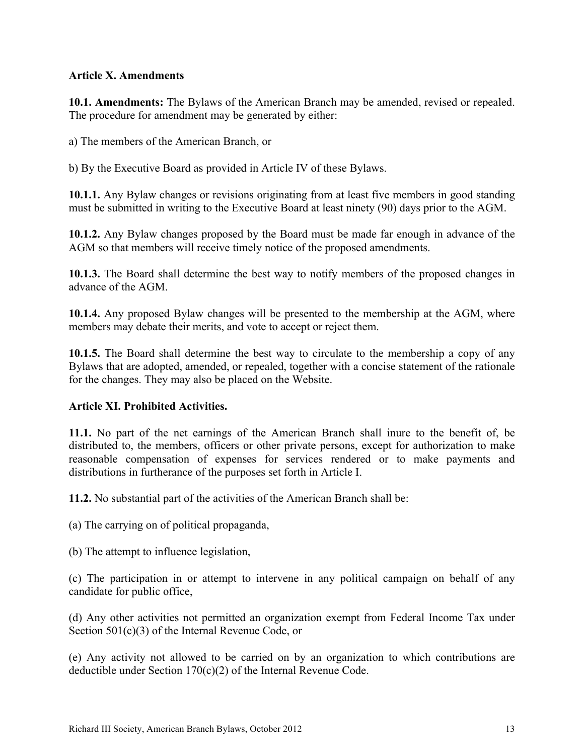### **Article X. Amendments**

**10.1. Amendments:** The Bylaws of the American Branch may be amended, revised or repealed. The procedure for amendment may be generated by either:

a) The members of the American Branch, or

b) By the Executive Board as provided in Article IV of these Bylaws.

**10.1.1.** Any Bylaw changes or revisions originating from at least five members in good standing must be submitted in writing to the Executive Board at least ninety (90) days prior to the AGM.

**10.1.2.** Any Bylaw changes proposed by the Board must be made far enough in advance of the AGM so that members will receive timely notice of the proposed amendments.

**10.1.3.** The Board shall determine the best way to notify members of the proposed changes in advance of the AGM.

**10.1.4.** Any proposed Bylaw changes will be presented to the membership at the AGM, where members may debate their merits, and vote to accept or reject them.

**10.1.5.** The Board shall determine the best way to circulate to the membership a copy of any Bylaws that are adopted, amended, or repealed, together with a concise statement of the rationale for the changes. They may also be placed on the Website.

#### **Article XI. Prohibited Activities.**

**11.1.** No part of the net earnings of the American Branch shall inure to the benefit of, be distributed to, the members, officers or other private persons, except for authorization to make reasonable compensation of expenses for services rendered or to make payments and distributions in furtherance of the purposes set forth in Article I.

**11.2.** No substantial part of the activities of the American Branch shall be:

(a) The carrying on of political propaganda,

(b) The attempt to influence legislation,

(c) The participation in or attempt to intervene in any political campaign on behalf of any candidate for public office,

(d) Any other activities not permitted an organization exempt from Federal Income Tax under Section 501(c)(3) of the Internal Revenue Code, or

(e) Any activity not allowed to be carried on by an organization to which contributions are deductible under Section 170(c)(2) of the Internal Revenue Code.